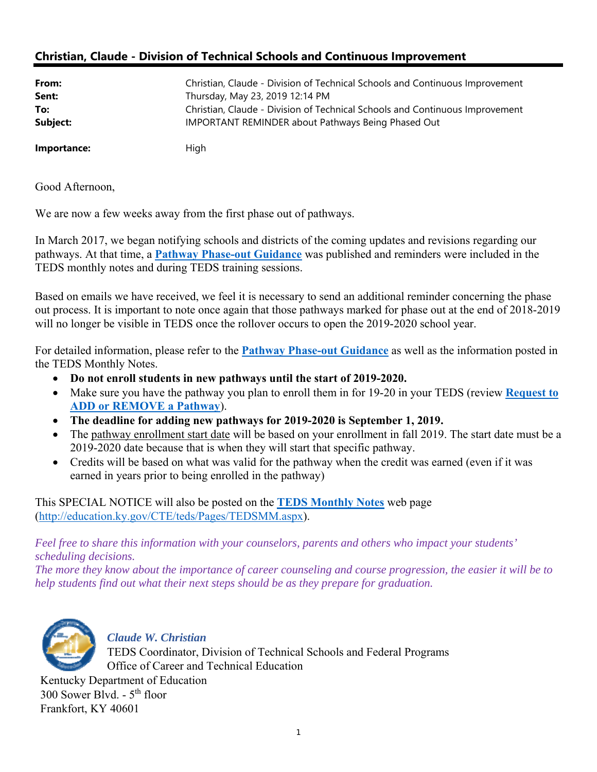## **Christian, Claude - Division of Technical Schools and Continuous Improvement**

| From:       | Christian, Claude - Division of Technical Schools and Continuous Improvement |
|-------------|------------------------------------------------------------------------------|
| Sent:       | Thursday, May 23, 2019 12:14 PM                                              |
| To:         | Christian, Claude - Division of Technical Schools and Continuous Improvement |
| Subject:    | <b>IMPORTANT REMINDER about Pathways Being Phased Out</b>                    |
| Importance: | High                                                                         |

Good Afternoon,

We are now a few weeks away from the first phase out of pathways.

In March 2017, we began notifying schools and districts of the coming updates and revisions regarding our pathways. At that time, a **[Pathway Phase-out Guidance](https://education.ky.gov/CTE/ctepa/Documents/Pathway_Phaseout_Guidance.pdf)** was published and reminders were included in the TEDS monthly notes and during TEDS training sessions.

Based on emails we have received, we feel it is necessary to send an additional reminder concerning the phase out process. It is important to note once again that those pathways marked for phase out at the end of 2018-2019 will no longer be visible in TEDS once the rollover occurs to open the 2019-2020 school year.

For detailed information, please refer to the **[Pathway Phase-out Guidance](https://education.ky.gov/CTE/ctepa/Documents/Pathway_Phaseout_Guidance.pdf)** as well as the information posted in the TEDS Monthly Notes.

- **Do not enroll students in new pathways until the start of 2019-2020.**
- Make sure you have the pathway you plan to enroll them in for 19-20 in your TEDS (review **[Request to](https://education.ky.gov/CTE/teds/Documents/Add-Remove_Existing_Pathway_in_TEDS.pdf)  [ADD or REMOVE a Pathway](https://education.ky.gov/CTE/teds/Documents/Add-Remove_Existing_Pathway_in_TEDS.pdf)**).
- **The deadline for adding new pathways for 2019-2020 is September 1, 2019.**
- The pathway enrollment start date will be based on your enrollment in fall 2019. The start date must be a 2019-2020 date because that is when they will start that specific pathway.
- Credits will be based on what was valid for the pathway when the credit was earned (even if it was earned in years prior to being enrolled in the pathway)

This SPECIAL NOTICE will also be posted on the **[TEDS Monthly Notes](http://education.ky.gov/CTE/teds/Pages/TEDSMM.aspx)** web page (<http://education.ky.gov/CTE/teds/Pages/TEDSMM.aspx>).

*Feel free to share this information with your counselors, parents and others who impact your students' scheduling decisions.* 

*The more they know about the importance of career counseling and course progression, the easier it will be to help students find out what their next steps should be as they prepare for graduation.* 



*Claude W. Christian* TEDS Coordinator, Division of Technical Schools and Federal Programs Office of Career and Technical Education

Kentucky Department of Education 300 Sower Blvd. -  $5<sup>th</sup>$  floor Frankfort, KY 40601